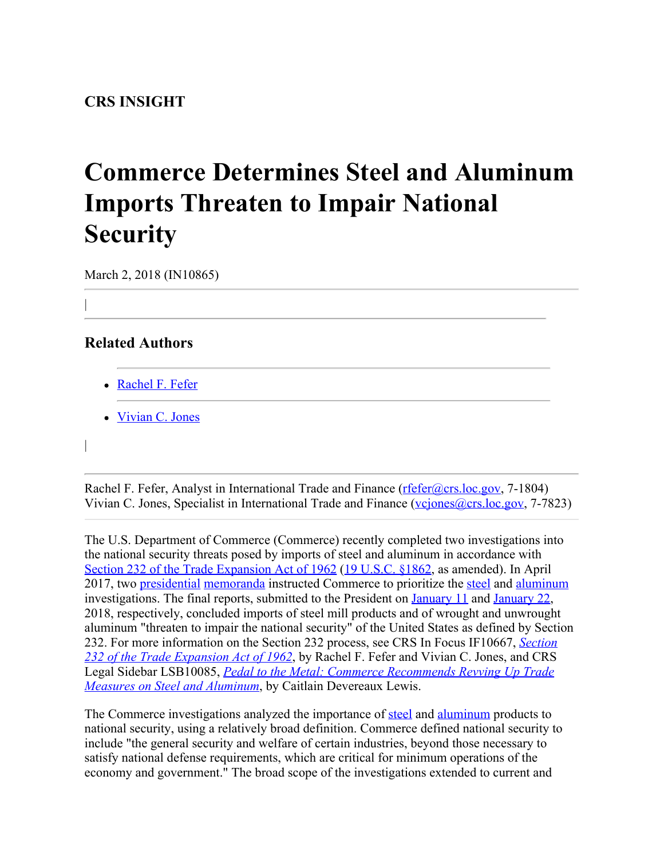## **Commerce Determines Steel and Aluminum Imports Threaten to Impair National Security**

March 2, 2018 (IN10865)

## **Related Authors**

|

|

- [Rachel F. Fefer](http://www.crs.gov/Author/index?id=105089)
- [Vivian C. Jones](http://www.crs.gov/Author/index?id=3475)

Rachel F. Fefer, Analyst in International Trade and Finance [\(rfefer@crs.loc.gov](mailto:rfefer@crs.loc.gov), 7-1804) Vivian C. Jones, Specialist in International Trade and Finance (vciones@crs.loc.gov, 7-7823)

The U.S. Department of Commerce (Commerce) recently completed two investigations into the national security threats posed by imports of steel and aluminum in accordance with [Section 232 of the Trade Expansion Act of 1962](http://www.crs.gov/Reports/IF10667) [\(19 U.S.C. §1862](http://uscode.house.gov/view.xhtml?req=(title:19%20section:1862%20edition:prelim)%20OR%20(granuleid:USC-prelim-title19-section1862)&f=treesort&edition=prelim&num=0&jumpTo=true), as amended). In April 2017, two [presidential](https://www.whitehouse.gov/briefings-statements/remarks-president-trump-signing-memorandum-regarding-investigation-pursuant-section-232b-trade-expansion-act/) [memoranda](https://www.whitehouse.gov/briefings-statements/president-donald-j-trump-stands-american-made-aluminum/) instructed Commerce to prioritize the [steel](https://www.commerce.gov/page/section-232-investigation-effect-imports-steel-us-national-security) and [aluminum](https://www.commerce.gov/page/section-232-investigation-effect-imports-aluminum-us-national-security) investigations. The final reports, submitted to the President on [January 11](https://www.commerce.gov/news/press-releases/2018/01/statement-department-commerce-submission-steel-section-232-report) and [January 22](https://www.commerce.gov/news/press-releases/2018/01/statement-department-commerce-submission-aluminum-section-232-report), 2018, respectively, concluded imports of steel mill products and of wrought and unwrought aluminum "threaten to impair the national security" of the United States as defined by Section 232. For more information on the Section 232 process, see CRS In Focus IF10667, *[Section](https://fas.org/sgp/crs/misc/IF10667.pdf) [232 of the Trade Expansion Act of 1962](https://fas.org/sgp/crs/misc/IF10667.pdf)*, by Rachel F. Fefer and Vivian C. Jones, and CRS Legal Sidebar LSB10085, *[Pedal to the Metal: Commerce Recommends Revving Up Trade](https://fas.org/sgp/crs/misc/LSB10085.pdf) [Measures on Steel and Aluminum](https://fas.org/sgp/crs/misc/LSB10085.pdf)*, by Caitlain Devereaux Lewis.

The Commerce investigations analyzed the importance of [steel](https://www.commerce.gov/sites/commerce.gov/files/the_effect_of_imports_of_steel_on_the_national_security_-_with_redactions_-_20180111.pdf) and [aluminum](https://www.commerce.gov/sites/commerce.gov/files/the_effect_of_imports_of_aluminum_on_the_national_security_-_with_redactions_-_20180117.pdf) products to national security, using a relatively broad definition. Commerce defined national security to include "the general security and welfare of certain industries, beyond those necessary to satisfy national defense requirements, which are critical for minimum operations of the economy and government." The broad scope of the investigations extended to current and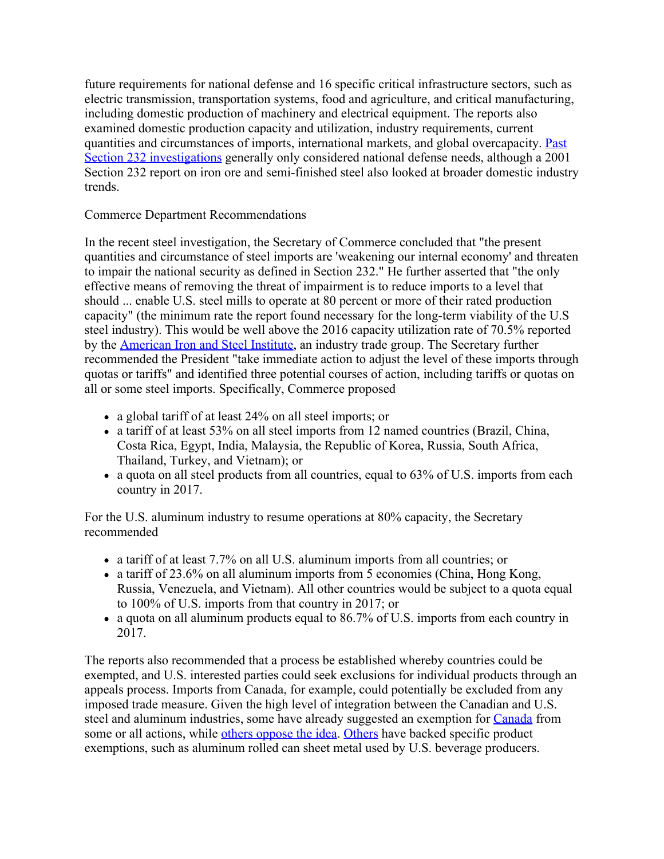future requirements for national defense and 16 specific critical infrastructure sectors, such as electric transmission, transportation systems, food and agriculture, and critical manufacturing, including domestic production of machinery and electrical equipment. The reports also examined domestic production capacity and utilization, industry requirements, current quantities and circumstances of imports, international markets, and global overcapacity. [Past](https://www.bis.doc.gov/index.php/other-areas/office-of-technology-evaluation-ote/section-232-investigations) [Section 232 investigations](https://www.bis.doc.gov/index.php/other-areas/office-of-technology-evaluation-ote/section-232-investigations) generally only considered national defense needs, although a 2001 Section 232 report on iron ore and semi-finished steel also looked at broader domestic industry trends.

## Commerce Department Recommendations

In the recent steel investigation, the Secretary of Commerce concluded that "the present quantities and circumstance of steel imports are 'weakening our internal economy' and threaten to impair the national security as defined in Section 232." He further asserted that "the only effective means of removing the threat of impairment is to reduce imports to a level that should ... enable U.S. steel mills to operate at 80 percent or more of their rated production capacity" (the minimum rate the report found necessary for the long-term viability of the U.S steel industry). This would be well above the 2016 capacity utilization rate of 70.5% reported by the **American Iron and Steel Institute**, an industry trade group. The Secretary further recommended the President "take immediate action to adjust the level of these imports through quotas or tariffs" and identified three potential courses of action, including tariffs or quotas on all or some steel imports. Specifically, Commerce proposed

- a global tariff of at least 24% on all steel imports; or
- a tariff of at least 53% on all steel imports from 12 named countries (Brazil, China, Costa Rica, Egypt, India, Malaysia, the Republic of Korea, Russia, South Africa, Thailand, Turkey, and Vietnam); or
- a quota on all steel products from all countries, equal to 63% of U.S. imports from each country in 2017.

For the U.S. aluminum industry to resume operations at 80% capacity, the Secretary recommended

- a tariff of at least 7.7% on all U.S. aluminum imports from all countries; or
- a tariff of 23.6% on all aluminum imports from 5 economies (China, Hong Kong, Russia, Venezuela, and Vietnam). All other countries would be subject to a quota equal to 100% of U.S. imports from that country in 2017; or
- a quota on all aluminum products equal to 86.7% of U.S. imports from each country in 2017.

The reports also recommended that a process be established whereby countries could be exempted, and U.S. interested parties could seek exclusions for individual products through an appeals process. Imports from Canada, for example, could potentially be excluded from any imposed trade measure. Given the high level of integration between the Canadian and U.S. steel and aluminum industries, some have already suggested an exemption for [Canada](https://www.bis.doc.gov/index.php/232-steel-public-comments/1729-algoma-public-comment) from some or all actions, while [others oppose the idea](https://www.bis.doc.gov/index.php/forms-documents?task=doc_download&gid=1716). [Others](http://www.aluminum.org/news/aluminum-association-commerce-department-no-232-product-carve-outs) have backed specific product exemptions, such as aluminum rolled can sheet metal used by U.S. beverage producers.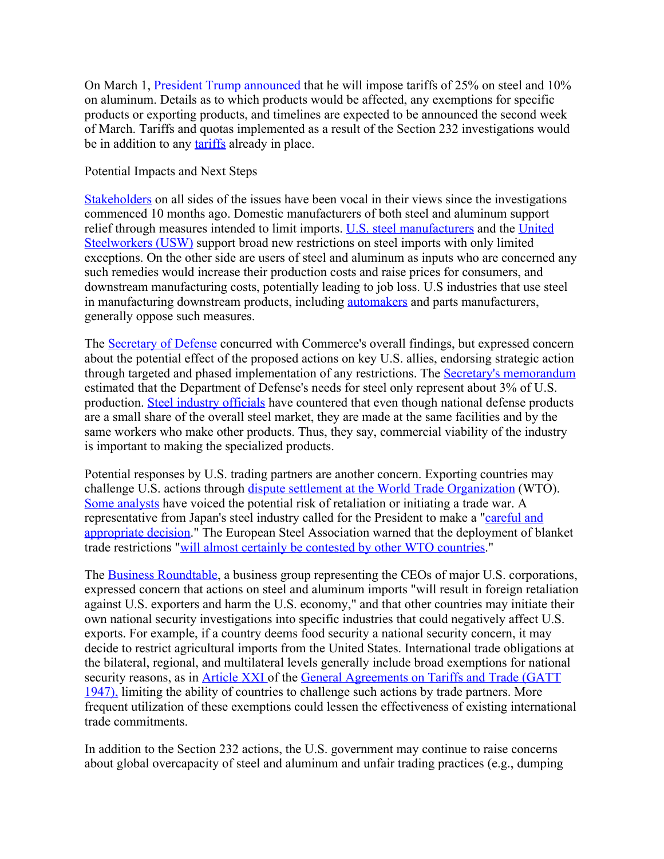On March 1, [President Trump announced](https://www.whitehouse.gov/briefings-statements/remarks-president-trump-listening-session-representatives-steel-aluminum-industry/) that he will impose tariffs of 25% on steel and 10% on aluminum. Details as to which products would be affected, any exemptions for specific products or exporting products, and timelines are expected to be announced the second week of March. Tariffs and quotas implemented as a result of the Section 232 investigations would be in addition to any [tariffs](https://hts.usitc.gov/current) already in place.

## Potential Impacts and Next Steps

[Stakeholders](https://fas.org/sgp/crs/misc/IN10742.pdf) on all sides of the issues have been vocal in their views since the investigations commenced 10 months ago. Domestic manufacturers of both steel and aluminum support relief through measures intended to limit imports. [U.S. steel manufacturers](http://www.steel.org/Steel_org/document-types/news/2018/232-submission-to-potus.aspx?siteLocation=c9ab56b9-909a-4e69-9b5c-12237116e869) and the [United](https://www.usw.org/news/media-center/releases/2018/usw-lauds-commerce-report-looks-for-president-to-take-bold-action-in-response-to-232-reports) [Steelworkers \(USW\)](https://www.usw.org/news/media-center/releases/2018/usw-lauds-commerce-report-looks-for-president-to-take-bold-action-in-response-to-232-reports) support broad new restrictions on steel imports with only limited exceptions. On the other side are users of steel and aluminum as inputs who are concerned any such remedies would increase their production costs and raise prices for consumers, and downstream manufacturing costs, potentially leading to job loss. U.S industries that use steel in manufacturing downstream products, including **automakers** and parts manufacturers, generally oppose such measures.

The [Secretary of Defense](https://www.commerce.gov/file/department-defense-memo-response-steel-and-aluminum-policy-recommendations) concurred with Commerce's overall findings, but expressed concern about the potential effect of the proposed actions on key U.S. allies, endorsing strategic action through targeted and phased implementation of any restrictions. The [Secretary's memorandum](https://www.commerce.gov/sites/commerce.gov/files/department_of_defense_memo_response_to_steel_and_aluminum_policy_recommendations.pdf) estimated that the Department of Defense's needs for steel only represent about 3% of U.S. production. [Steel industry officials](https://www.bis.doc.gov/index.php/forms-documents?task=doc_download&gid=1694) have countered that even though national defense products are a small share of the overall steel market, they are made at the same facilities and by the same workers who make other products. Thus, they say, commercial viability of the industry is important to making the specialized products.

Potential responses by U.S. trading partners are another concern. Exporting countries may challenge U.S. actions through [dispute settlement at the World Trade Organization](https://fas.org/sgp/crs/misc/IF10436.pdf) (WTO). [Some analysts](https://www.vox.com/policy-and-politics/2018/2/17/17023400/trump-china-trade-fight) have voiced the potential risk of retaliation or initiating a trade war. A representative from Japan's steel industry called for the President to make a ["careful and](https://www.reuters.com/article/us-usa-trade-steel-japan/japans-steel-industry-urges-trump-to-make-careful-trade-decision-idUSKCN1G30WN) [appropriate decision.](https://www.reuters.com/article/us-usa-trade-steel-japan/japans-steel-industry-urges-trump-to-make-careful-trade-decision-idUSKCN1G30WN)" The European Steel Association warned that the deployment of blanket trade restrictions ["will almost certainly be contested by other WTO countries](http://www.eurofer.org/News%26Events/Press%20releases/PRESS%20RELEASE%20DO%20NOT%20PULL%20TRIGGER%20ON%20TR.fhtml)."

The [Business Roundtable](http://businessroundtable.org/media/news-releases/business-roundtable-statement-commerce-department%E2%80%99s-recommendations-use-section), a business group representing the CEOs of major U.S. corporations, expressed concern that actions on steel and aluminum imports "will result in foreign retaliation against U.S. exporters and harm the U.S. economy," and that other countries may initiate their own national security investigations into specific industries that could negatively affect U.S. exports. For example, if a country deems food security a national security concern, it may decide to restrict agricultural imports from the United States. International trade obligations at the bilateral, regional, and multilateral levels generally include broad exemptions for national security reasons, as in [Article XXI](https://www.wto.org/english/docs_e/legal_e/gatt47_02_e.htm#articleXXI) of the [General Agreements on Tariffs and Trade \(GATT](https://www.wto.org/english/docs_e/legal_e/gatt47_02_e.htm)) [1947\),](https://www.wto.org/english/docs_e/legal_e/gatt47_02_e.htm) limiting the ability of countries to challenge such actions by trade partners. More frequent utilization of these exemptions could lessen the effectiveness of existing international trade commitments.

In addition to the Section 232 actions, the U.S. government may continue to raise concerns about global overcapacity of steel and aluminum and unfair trading practices (e.g., dumping